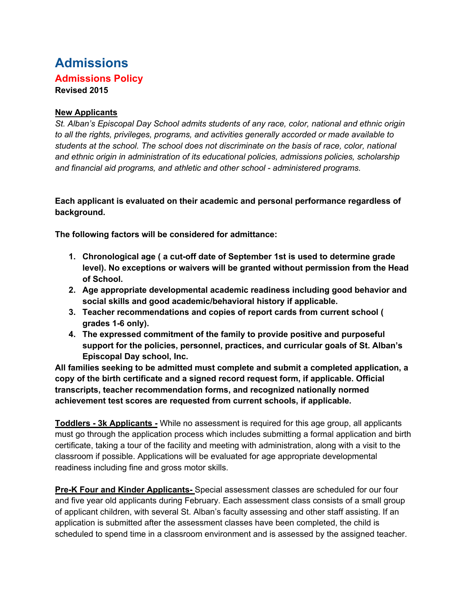# **Admissions Admissions Policy Revised 2015**

#### **New Applicants**

*St. Alban's Episcopal Day School admits students of any race, color, national and ethnic origin to all the rights, privileges, programs, and activities generally accorded or made available to students at the school. The school does not discriminate on the basis of race, color, national and ethnic origin in administration of its educational policies, admissions policies, scholarship and financial aid programs, and athletic and other school - administered programs.*

**Each applicant is evaluated on their academic and personal performance regardless of background.**

**The following factors will be considered for admittance:**

- **1. Chronological age ( a cut-off date of September 1st is used to determine grade level). No exceptions or waivers will be granted without permission from the Head of School.**
- **2. Age appropriate developmental academic readiness including good behavior and social skills and good academic/behavioral history if applicable.**
- **3. Teacher recommendations and copies of report cards from current school ( grades 1-6 only).**
- **4. The expressed commitment of the family to provide positive and purposeful support for the policies, personnel, practices, and curricular goals of St. Alban's Episcopal Day school, Inc.**

**All families seeking to be admitted must complete and submit a completed application, a copy of the birth certificate and a signed record request form, if applicable. Official transcripts, teacher recommendation forms, and recognized nationally normed achievement test scores are requested from current schools, if applicable.** 

**Toddlers - 3k Applicants -** While no assessment is required for this age group, all applicants must go through the application process which includes submitting a formal application and birth certificate, taking a tour of the facility and meeting with administration, along with a visit to the classroom if possible. Applications will be evaluated for age appropriate developmental readiness including fine and gross motor skills.

**Pre-K Four and Kinder Applicants-** Special assessment classes are scheduled for our four and five year old applicants during February. Each assessment class consists of a small group of applicant children, with several St. Alban's faculty assessing and other staff assisting. If an application is submitted after the assessment classes have been completed, the child is scheduled to spend time in a classroom environment and is assessed by the assigned teacher.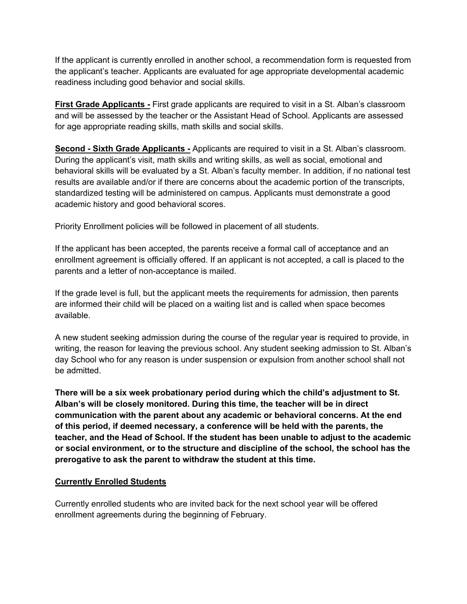If the applicant is currently enrolled in another school, a recommendation form is requested from the applicant's teacher. Applicants are evaluated for age appropriate developmental academic readiness including good behavior and social skills.

**First Grade Applicants -** First grade applicants are required to visit in a St. Alban's classroom and will be assessed by the teacher or the Assistant Head of School. Applicants are assessed for age appropriate reading skills, math skills and social skills.

**Second - Sixth Grade Applicants -** Applicants are required to visit in a St. Alban's classroom. During the applicant's visit, math skills and writing skills, as well as social, emotional and behavioral skills will be evaluated by a St. Alban's faculty member. In addition, if no national test results are available and/or if there are concerns about the academic portion of the transcripts, standardized testing will be administered on campus. Applicants must demonstrate a good academic history and good behavioral scores.

Priority Enrollment policies will be followed in placement of all students.

If the applicant has been accepted, the parents receive a formal call of acceptance and an enrollment agreement is officially offered. If an applicant is not accepted, a call is placed to the parents and a letter of non-acceptance is mailed.

If the grade level is full, but the applicant meets the requirements for admission, then parents are informed their child will be placed on a waiting list and is called when space becomes available.

A new student seeking admission during the course of the regular year is required to provide, in writing, the reason for leaving the previous school. Any student seeking admission to St. Alban's day School who for any reason is under suspension or expulsion from another school shall not be admitted.

**There will be a six week probationary period during which the child's adjustment to St. Alban's will be closely monitored. During this time, the teacher will be in direct communication with the parent about any academic or behavioral concerns. At the end of this period, if deemed necessary, a conference will be held with the parents, the teacher, and the Head of School. If the student has been unable to adjust to the academic or social environment, or to the structure and discipline of the school, the school has the prerogative to ask the parent to withdraw the student at this time.** 

# **Currently Enrolled Students**

Currently enrolled students who are invited back for the next school year will be offered enrollment agreements during the beginning of February.